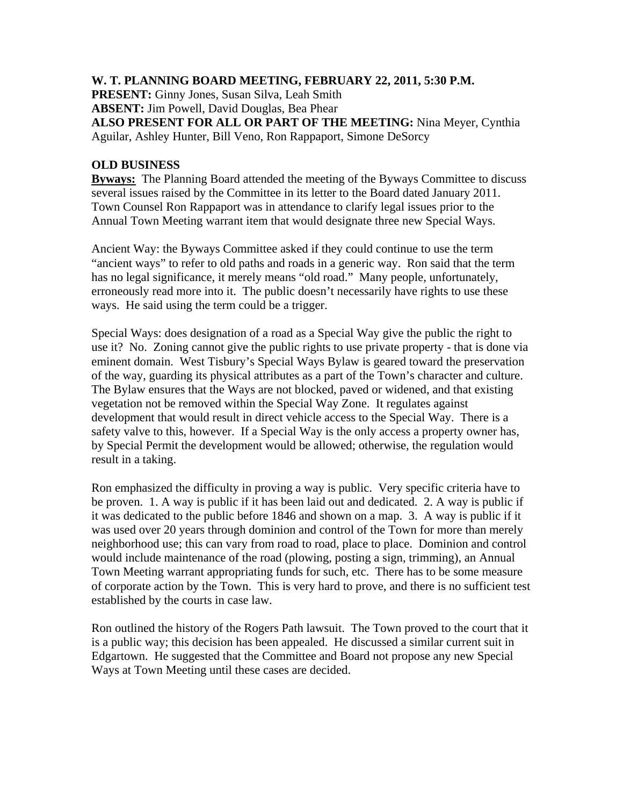## **W. T. PLANNING BOARD MEETING, FEBRUARY 22, 2011, 5:30 P.M.**

**PRESENT:** Ginny Jones, Susan Silva, Leah Smith **ABSENT:** Jim Powell, David Douglas, Bea Phear

**ALSO PRESENT FOR ALL OR PART OF THE MEETING:** Nina Meyer, Cynthia Aguilar, Ashley Hunter, Bill Veno, Ron Rappaport, Simone DeSorcy

## **OLD BUSINESS**

**Byways:** The Planning Board attended the meeting of the Byways Committee to discuss several issues raised by the Committee in its letter to the Board dated January 2011. Town Counsel Ron Rappaport was in attendance to clarify legal issues prior to the Annual Town Meeting warrant item that would designate three new Special Ways.

Ancient Way: the Byways Committee asked if they could continue to use the term "ancient ways" to refer to old paths and roads in a generic way. Ron said that the term has no legal significance, it merely means "old road." Many people, unfortunately, erroneously read more into it. The public doesn't necessarily have rights to use these ways. He said using the term could be a trigger.

Special Ways: does designation of a road as a Special Way give the public the right to use it? No. Zoning cannot give the public rights to use private property - that is done via eminent domain. West Tisbury's Special Ways Bylaw is geared toward the preservation of the way, guarding its physical attributes as a part of the Town's character and culture. The Bylaw ensures that the Ways are not blocked, paved or widened, and that existing vegetation not be removed within the Special Way Zone. It regulates against development that would result in direct vehicle access to the Special Way. There is a safety valve to this, however. If a Special Way is the only access a property owner has, by Special Permit the development would be allowed; otherwise, the regulation would result in a taking.

Ron emphasized the difficulty in proving a way is public. Very specific criteria have to be proven. 1. A way is public if it has been laid out and dedicated. 2. A way is public if it was dedicated to the public before 1846 and shown on a map. 3. A way is public if it was used over 20 years through dominion and control of the Town for more than merely neighborhood use; this can vary from road to road, place to place. Dominion and control would include maintenance of the road (plowing, posting a sign, trimming), an Annual Town Meeting warrant appropriating funds for such, etc. There has to be some measure of corporate action by the Town. This is very hard to prove, and there is no sufficient test established by the courts in case law.

Ron outlined the history of the Rogers Path lawsuit. The Town proved to the court that it is a public way; this decision has been appealed. He discussed a similar current suit in Edgartown. He suggested that the Committee and Board not propose any new Special Ways at Town Meeting until these cases are decided.